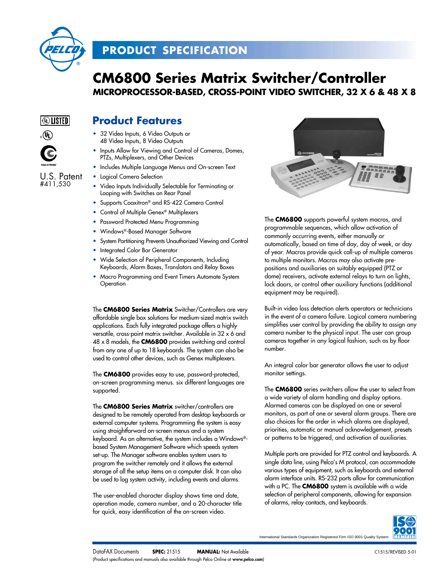

# **PRODUCT SPECIFICATION**

# **CM6800 Series Matrix Switcher/Controller MICROPROCESSOR-BASED, CROSS-POINT VIDEO SWITCHER, 32 X 6 & 48 X 8**



U.S. Patent #411,530

# **Product Features**

- 32 Video Inputs, 6 Video Outputs or 48 Video Inputs, 8 Video Outputs
- Inputs Allow for Viewing and Control of Cameras, Domes, PTZs, Multiplexers, and Other Devices
- Includes Multiple Language Menus and On-screen Text
- Logical Camera Selection
- Video Inputs Individually Selectable for Terminating or Looping with Switches on Rear Panel
- Supports Coaxitron® and RS-422 Camera Control
- Control of Multiple Genex® Multiplexers
- Password Protected Menu Programming
- Windows®-Based Manager Software
- System Partitioning Prevents Unauthorized Viewing and Control
- Integrated Color Bar Generator
- Wide Selection of Peripheral Components, Including Keyboards, Alarm Boxes, Translators and Relay Boxes
- Macro Programming and Event Timers Automate System **Operation**

The **CM6800 Series Matrix** Switcher/Controllers are very affordable single box solutions for medium-sized matrix switch applications. Each fully integrated package offers a highly versatile, cross-point matrix switcher. Available in 32 x 6 and 48 x 8 models, the **CM6800** provides switching and control from any one of up to 18 keyboards. The system can also be used to control other devices, such as Genex multiplexers.

The **CM6800** provides easy to use, password-protected, on-screen programming menus. six different languages are supported.

The **CM6800 Series Matrix** switcher/controllers are designed to be remotely operated from desktop keyboards or external computer systems. Programming the system is easy using straightforward on-screen menus and a system keyboard. As an alternative, the system includes a Windows® based System Management Software which speeds system set-up. The Manager software enables system users to program the switcher remotely and it allows the external storage of all the setup items on a computer disk. It can also be used to log system activity, including events and alarms.

The user-enabled character display shows time and date, operation mode, camera number, and a 20-character title for quick, easy identification of the on-screen video.



The **CM6800** supports powerful system macros, and programmable sequences, which allow activation of commonly occurring events, either manually or automatically, based on time of day, day of week, or day of year. Macros provide quick call-up of multiple cameras to multiple monitors. Macros may also activate prepositions and auxiliaries on suitably equipped (PTZ or dome) receivers, activate external relays to turn on lights, lock doors, or control other auxiliary functions (additional equipment may be required).

Built-in video loss detection alerts operators or technicians in the event of a camera failure. Logical camera numbering simplifies user control by providing the ability to assign any camera number to the physical input. The user can group cameras together in any logical fashion, such as by floor number.

An integral color bar generator allows the user to adjust monitor settings.

The **CM6800** series switchers allow the user to select from a wide variety of alarm handling and display options. Alarmed cameras can be displayed on one or several monitors, as part of one or several alarm groups. There are also choices for the order in which alarms are displayed, priorities, automatic or manual acknowledgement, presets or patterns to be triggered, and activation of auxiliaries.

Multiple ports are provided for PTZ control and keyboards. A single data line, using Pelco's M protocol, can accommodate various types of equipment, such as keyboards and external alarm interface units. RS-232 ports allow for communication with a PC. The **CM6800** system is available with a wide selection of peripheral components, allowing for expansion of alarms, relay contacts, and keyboards.



International Standards Organization Registered Firm ISO 9001 Quality System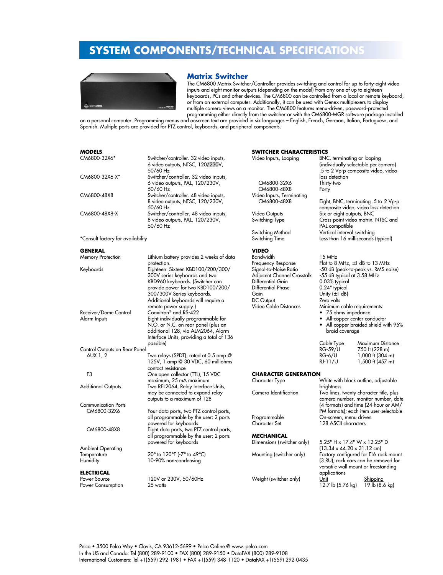

### **Matrix Switcher**

The CM6800 Matrix Switcher/Controller provides switching and control for up to forty-eight video inputs and eight monitor outputs (depending on the model) from any one of up to eighteen keyboards, PCs and other devices. The CM6800 can be controlled from a local or remote keyboard, or from an external computer. Additionally, it can be used with Genex multiplexers to display multiple camera views on a monitor. The CM6800 features menu-driven, password-protected programming either directly from the switcher or with the CM6800-MGR software package installed

**SWITCHER CHARACTERISTICS**

 $\frac{12.7 \text{ lb}}{12.7 \text{ lb}}$  (5.76 kg) 19 lb (8.6 kg)

on a personal computer. Programming menus and onscreen text are provided in six languages – English, French, German, Italian, Portuguese, and Spanish. Multiple ports are provided for PTZ control, keyboards, and peripheral components.

### **MODELS**

| CM6800-32X6*                      | Switcher/controller. 32 video inputs,<br>6 video outputs, NTSC, 120/230V,<br>50/60 Hz | Video Inputs, Looping       | BNC, terminating or looping                    | (individually selectable per camera)<br>.5 to 2 Vp-p composite video, video   |
|-----------------------------------|---------------------------------------------------------------------------------------|-----------------------------|------------------------------------------------|-------------------------------------------------------------------------------|
| CM6800-32X6-X*                    | Switcher/controller. 32 video inputs,                                                 |                             | loss detection                                 |                                                                               |
|                                   | 6 video outputs, PAL, 120/230V,                                                       | CM6800-32X6                 | Thirty-two                                     |                                                                               |
|                                   | 50/60 Hz                                                                              | CM6800-48X8                 | Forty                                          |                                                                               |
| CM6800-48X8                       | Switcher/controller. 48 video inputs,                                                 | Video Inputs, Terminating   |                                                |                                                                               |
|                                   | 8 video outputs, NTSC, 120/230V,<br>50/60 Hz                                          | CM6800-48X8                 |                                                | Eight, BNC, terminating .5 to 2 Vp-p<br>composite video, video loss detection |
| CM6800-48X8-X                     | Switcher/controller. 48 video inputs,                                                 | <b>Video Outputs</b>        | Six or eight outputs, BNC                      |                                                                               |
|                                   | 8 video outputs, PAL, 120/230V,<br>50/60 Hz                                           | Switching Type              | PAL compatible                                 | Cross-point video matrix. NTSC and                                            |
|                                   |                                                                                       | Switching Method            | Vertical interval switching                    |                                                                               |
| *Consult factory for availability |                                                                                       | Switching Time              |                                                | Less than 16 milliseconds (typical)                                           |
| GENERAL                           |                                                                                       | <b>VIDEO</b>                |                                                |                                                                               |
| <b>Memory Protection</b>          | Lithium battery provides 2 weeks of data                                              | <b>Bandwidth</b>            | 15 MHz                                         |                                                                               |
|                                   | protection.                                                                           | Frequency Response          |                                                | Flat to 8 MHz, $\pm 1$ dB to 13 MHz                                           |
| Keyboards                         | Eighteen: Sixteen KBD100/200/300/                                                     | Signal-to-Noise Ratio       |                                                | -50 dB (peak-to-peak vs. RMS noise)                                           |
|                                   | 300V series keyboards and two                                                         | Adjacent Channel Crosstalk  | -55 dB typical at 3.58 MHz                     |                                                                               |
|                                   | KBD960 keyboards. (Switcher can                                                       | Differential Gain           | 0.03% typical                                  |                                                                               |
|                                   | provide power for two KBD100/200/                                                     | Differential Phase          | $0.24^\circ$ typical                           |                                                                               |
|                                   | 300/300V Series keyboards.                                                            | Gain                        | Unity $(\pm 1 \text{ dB})$                     |                                                                               |
|                                   | Additional keyboards will require a                                                   | DC Output                   | Zero volts                                     |                                                                               |
|                                   | remote power supply.)                                                                 | Video Cable Distances       | Minimum cable requirements:                    |                                                                               |
| Receiver/Dome Control             | Coaxitron <sup>®</sup> and RS-422                                                     |                             | • 75 ohms impedance                            |                                                                               |
| Alarm Inputs                      | Eight individually programmable for                                                   |                             |                                                | • All-copper center conductor                                                 |
|                                   | N.O. or N.C. on rear panel (plus an                                                   |                             |                                                | • All-copper braided shield with 95%                                          |
|                                   | additional 128, via ALM2064, Alarm                                                    |                             | braid coverage                                 |                                                                               |
|                                   | Interface Units, providing a total of 136                                             |                             |                                                |                                                                               |
|                                   | possible)                                                                             |                             | Cable Type<br>RG-59/U                          | Maximum Distance                                                              |
| Control Outputs on Rear Panel     |                                                                                       |                             |                                                | 750 ft (228 m)                                                                |
| AUX 1, 2                          | Two relays (SPDT), rated at 0.5 amp @                                                 |                             | <b>RG-6/U</b><br>$RJ-11/U$                     | 1,000 ft (304 m)                                                              |
|                                   | 125V, 1 amp @ 30 VDC, 60 milliohms                                                    |                             |                                                | 1,500 ft (457 m)                                                              |
| F3                                | contact resistance<br>One open collector (TTL); 15 VDC                                | <b>CHARACTER GENERATION</b> |                                                |                                                                               |
|                                   | maximum, 25 mA maximum                                                                | Character Type              |                                                | White with black outline, adjustable                                          |
| <b>Additional Outputs</b>         | Two REL2064, Relay Interface Units,                                                   |                             | brightness                                     |                                                                               |
|                                   | may be connected to expand relay                                                      | Camera Identification       |                                                | Two lines, twenty character title, plus                                       |
|                                   | outputs to a maximum of 128                                                           |                             |                                                | camera number, monitor number, date                                           |
| <b>Communication Ports</b>        |                                                                                       |                             |                                                | (4 formats) and time (24-hour or AM/                                          |
| CM6800-32X6                       | Four data ports, two PTZ control ports,                                               |                             |                                                | PM formats); each item user-selectable                                        |
|                                   | all programmable by the user; 2 ports                                                 | Programmable                | On-screen, menu driven                         |                                                                               |
|                                   | powered for keyboards                                                                 | Character Set               | 128 ASCII characters                           |                                                                               |
| CM6800-48X8                       | Eight data ports, two PTZ control ports,                                              |                             |                                                |                                                                               |
|                                   | all programmable by the user; 2 ports                                                 | <b>MECHANICAL</b>           |                                                |                                                                               |
|                                   | powered for keyboards                                                                 | Dimensions (switcher only)  |                                                | 5.25" H x 17.4" W x 12.25" D                                                  |
| <b>Ambient Operating</b>          |                                                                                       |                             | $(13.34 \times 44.20 \times 31.12 \text{ cm})$ |                                                                               |
| Temperature                       | 20° to 120°F (-7° to 49°C)                                                            | Mounting (switcher only)    |                                                | Factory configured for EIA rack mount                                         |
| Humidity                          | 10-90% non-condensing                                                                 |                             |                                                | (3 RU); rack ears can be removed for                                          |
|                                   |                                                                                       |                             |                                                | versatile wall mount or freestanding                                          |
| ELECTRICAL                        |                                                                                       |                             | applications                                   |                                                                               |
| Power Source                      | 120V or 230V, 50/60Hz                                                                 | Weight (switcher only)      | Unit                                           | Shipping                                                                      |
|                                   |                                                                                       |                             |                                                |                                                                               |

Power Consumption 25 watts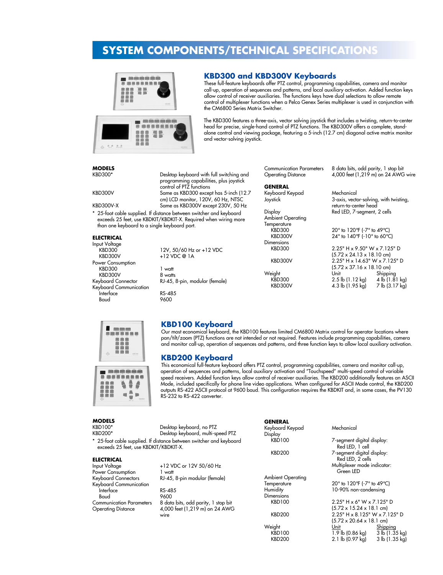

### **KBD300 and KBD300V Keyboards**

These full-feature keyboards offer PTZ control, programming capabilities, camera and monitor call-up, operation of sequences and patterns, and local auxiliary activation. Added function keys allow control of receiver auxiliaries. The functions keys have dual selections to allow remote control of multiplexer functions when a Pelco Genex Series multiplexer is used in conjunction with the CM6800 Series Matrix Switcher.

The KBD300 features a three-axis, vector solving joystick that includes a twisting, return-to-center head for precise, single-hand control of PTZ functions. The KBD300V offers a complete, standalone control and viewing package, featuring a 5-inch (12.7 cm) diagonal active matrix monitor and vector-solving joystick.

### **MODELS**

Desktop keyboard with full switching and programming capabilities, plus joystick control of PTZ functions KBD300V Same as KBD300 except has 5-inch (12.7 cm) LCD monitor, 120V, 60 Hz, NTSC KBD300V-X Same as KBD300V except 230V, 50 Hz

\* 25-foot cable supplied. If distance between switcher and keyboard exceeds 25 feet, use KBDKIT/KBDKIT-X. Required when wiring more than one keyboard to a single keyboard port.

#### **ELECTRICAL**

Input Voltage Power Consumption KBD300 1 watt KBD300V 8 watts Keyboard Communication Interface RS-485

 $KBD300$  12V, 50/60 Hz or +12 VDC<br>KBD300V +12 VDC @ 1A  $+12$  VDC @ 1A

Keyboard Connector RJ-45, 8-pin, modular (female)

9600

### **GENERAL**

Keyboard Keypad Mechanical

Ambient Operating Temperature<br>KBD300 Dimensions<br>KBD300

Communication Parameters 8 data bits, odd parity, 1 stop bit Operating Distance 4,000 feet (1,219 m) on 24 AWG wire

3-axis, vector-solving, with twisting, return-to-center head Display Red LED, 7-segment, 2 cells

 $\overline{R}$ BD300 20° to 120°F (-7° to 49°C)<br> $\overline{R}$ BD300V 24° to 140°F (-10° to 60°C)  $24^{\circ}$  to  $140^{\circ}$ F (-10° to 60°C)

2.25" H x 9.50" W x 7.125" D (5.72 x 24.13 x 18.10 cm) KBD300V 2.25" H x 14.63" W x 7.125" D (5.72 x 37.16 x 18.10 cm) Weight Unit Shipping KBD300 2.5 lb (1.12 kg) 4 lb (1.81 kg)<br>KBD300V 4.3 lb (1.95 kg) 7 lb (3.17 kg) 4.3 lb  $(1.95 \text{ kg})$ 



### **KBD100 Keyboard**

Our most economical keyboard, the KBD100 features limited CM6800 Matrix control for operator locations where pan/tilt/zoom (PTZ) functions are not intended or not required. Features include programming capabilities, camera and monitor call-up, operation of sequences and patterns, and three function keys to allow local auxiliary activation.

### **KBD200 Keyboard**

This economical full-feature keyboard offers PTZ control, programming capabilities, camera and monitor call-up, operation of sequences and patterns, local auxiliary activation and "Touchspeed" multi-speed control of variable speed receivers. Added function keys allow control of receiver auxiliaries. The KBD200 additionally features an ASCII Mode, included specifically for phone line video applications. When configured for ASCII Mode control, the KBD200 outputs RS-422 ASCII protocol at 9600 baud. This configuration requires the KBDKIT and, in some cases, the PV130 RS-232 to RS-422 converter.

> $\overline{1.9}$  lb (0.86 kg)  $\overline{3}$  lb (1.35 kg)<br>KBD200 2.1 lb (0.97 kg)  $\overline{3}$  lb (1.35 kg) 2.1  $\overline{b}$  (0.97 kg)

| <b>MODELS</b>                                                                                                |                                     | <b>GENERAL</b>           |                                                |                |
|--------------------------------------------------------------------------------------------------------------|-------------------------------------|--------------------------|------------------------------------------------|----------------|
| KBD100*                                                                                                      | Desktop keyboard, no PTZ            | Keyboard Keypad          | Mechanical                                     |                |
| <b>KBD200*</b>                                                                                               | Desktop keyboard, multi-speed PTZ   | Display                  |                                                |                |
| * 25-foot cable supplied. If distance between switcher and keyboard<br>exceeds 25 feet, use KBDKIT/KBDKIT-X. |                                     | <b>KBD100</b>            | 7-segment digital display:<br>Red LED, 1 cell  |                |
| <b>ELECTRICAL</b>                                                                                            |                                     | <b>KBD200</b>            | 7-segment digital display:<br>Red LED, 2 cells |                |
| Input Voltage                                                                                                | +12 VDC or 12V 50/60 Hz             |                          | Multiplexer mode indicator:                    |                |
| Power Consumption                                                                                            | l watt                              |                          | Green LED                                      |                |
| Keyboard Connectors                                                                                          | RJ-45, 8-pin modular (female)       | <b>Ambient Operating</b> |                                                |                |
| Keyboard Communication                                                                                       |                                     | Temperature              | 20° to 120°F (-7° to 49°C)                     |                |
| Interface                                                                                                    | RS-485                              | Humidity                 | 10-90% non-condensing                          |                |
| Baud                                                                                                         | 9600                                | <b>Dimensions</b>        |                                                |                |
| <b>Communication Parameters</b>                                                                              | 8 data bits, odd parity, 1 stop bit | <b>KBD100</b>            | $2.25" H \times 6" W \times 7.125" D$          |                |
| <b>Operating Distance</b>                                                                                    | 4,000 feet (1,219 m) on 24 AWG      |                          | $(5.72 \times 15.24 \times 18.1 \text{ cm})$   |                |
|                                                                                                              | wire                                | <b>KBD200</b>            | 2.25" H x 8.125" W x 7.125" D                  |                |
|                                                                                                              |                                     |                          | $(5.72 \times 20.64 \times 18.1$ cm)           |                |
|                                                                                                              |                                     | Weight                   | Shipping<br>Unit                               |                |
|                                                                                                              |                                     | <b>KBD100</b>            | 1.9 lb (0.86 ka)                               | 3 lb (1.35 kg) |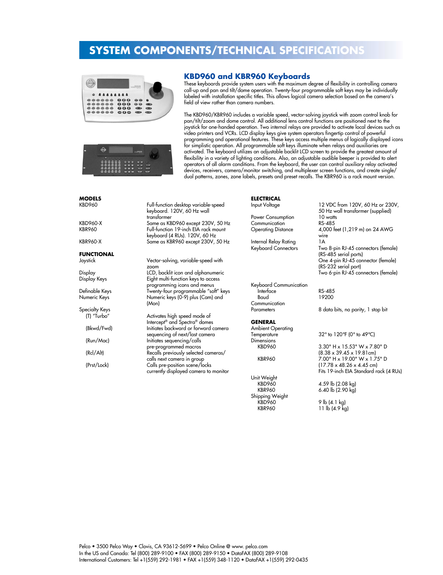

### **KBD960 and KBR960 Keyboards**

These keyboards provide system users with the maximum degree of flexibility in controlling camera call-up and pan and tilt/dome operation. Twenty-four programmable soft keys may be individually labeled with installation specific titles. This allows logical camera selection based on the camera's field of view rather than camera numbers.

The KBD960/KBR960 includes a variable speed, vector-solving joystick with zoom control knob for pan/tilt/zoom and dome control. All additional lens control functions are positioned next to the joystick for one-handed operation. Two internal relays are provided to activate local devices such as video printers and VCRs. LCD display keys give system operators fingertip control of powerful programming and operational features. These keys access multiple menus of logically displayed icons for simplistic operation. All programmable soft keys illuminate when relays and auxiliaries are activated. The keyboard utilizes an adjustable backlit LCD screen to provide the greatest amount of flexibility in a variety of lighting conditions. Also, an adjustable audible beeper is provided to alert operators of all alarm conditions. From the keyboard, the user can control auxiliary relay activated devices, receivers, camera/monitor switching, and multiplexer screen functions, and create single/ dual patterns, zones, zone labels, presets and preset recalls. The KBR960 is a rack mount version.

| 000000000<br>٠ | $-1$<br><b>Pai Lond</b> | $\circ$<br>--<br>-- |  |
|----------------|-------------------------|---------------------|--|

# **MODELS**

# **FUNCTIONAL**

Specialty Keys<br>″T) "Turbo"

Full-function desktop variable-speed keyboard. 120V, 60 Hz wall transformer KBD960-X Same as KBD960 except 230V, 50 Hz Full-function 19-inch EIA rack mount keyboard (4 RUs). 120V, 60 Hz KBR960-X Same as KBR960 except 230V, 50 Hz

Vector-solving, variable-speed with zoom Display LCD, backlit icon and alphanumeric Eight multi-function keys to access programming icons and menus Definable Keys Twenty-four programmable "soft" keys Numeric keys (0-9) plus (Cam) and (Mon)

Activates high speed mode of Intercept® and Spectra® domes (Bkwd/Fwd) Initiates backward or forward camera sequencing of next/last camera (Run/Mac) Initiates sequencing/calls pre-programmed macros (Rcl/Alt) Recalls previously selected cameras/ calls next camera in group (Prst/Lock) Calls pre-position scene/locks currently displayed camera to monitor

## **ELECTRICAL**<br>Input Voltage

Power Consumption 10 watt<br>Communication RS-485 **Communication**<br>Operating Distance

Internal Relay Rating 1A

Keyboard Communication Interface RS-485 Communication

#### **GENERAL**

Ambient Operating Dimensions<br>KBD960

Unit Weight Shipping Weight

12 VDC from 120V, 60 Hz or 230V, 50 Hz wall transformer (supplied)<br>10 watts 4,000 feet (1,219 m) on 24 AWG wire Keyboard Connectors Two 8-pin RJ-45 connectors (female) (RS-485 serial ports) One 4-pin RJ-45 connector (female) (RS-232 serial port) Two 6-pin RJ-45 connectors (female)

19200

Parameters 8 data bits, no parity, 1 stop bit

32° to 120°F (0° to 49°C)

3.30" H x 15.53" W x 7.80" D (8.38 x 39.45 x 19.81cm) KBR960 7.00" H x 19.00" W x 1.75" D (17.78 x 48.26 x 4.45 cm) Fits 19-inch EIA Standard rack (4 RUs)

KBD960 4.59 lb (2.08 kg)<br>KBR960 6.40 lb (2.90 kg) 6.40 lb  $(2.90 \text{ kg})$ 

...<br>KBD960 9 lb (4.1 kg)<br>KBR960 11 lb (4.9 kg 11  $\overline{b}$  (4.9 kg)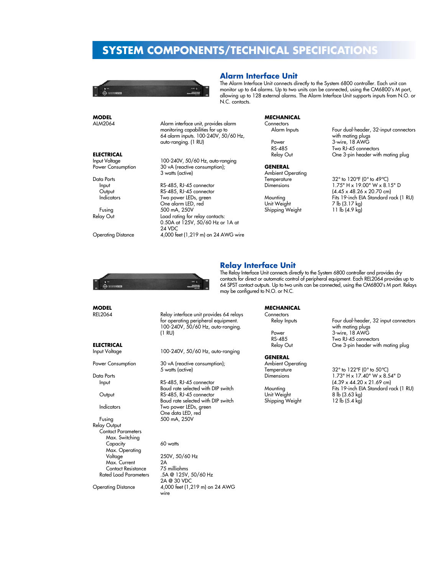

#### **Alarm Interface Unit**

**MECHANICAL**

The Alarm Interface Unit connects directly to the System 6800 controller. Each unit can monitor up to 64 alarms. Up to two units can be connected, using the CM6800's M port, allowing up to 128 external alarms. The Alarm Interface Unit supports inputs from N.O. or N.C. contacts.

| MODEL                     |                                                                           | MECHANICAL               |                                                            |
|---------------------------|---------------------------------------------------------------------------|--------------------------|------------------------------------------------------------|
| ALM2064                   | Alarm interface unit, provides alarm                                      | Connectors               |                                                            |
|                           | monitoring capabilities for up to<br>64 alarm inputs. 100-240V, 50/60 Hz, | Alarm Inputs             | Four dual-header, 32-input connectors<br>with mating plugs |
|                           | auto-ranging. (1 RU)                                                      | Power                    | 3-wire, 18 AWG                                             |
|                           |                                                                           | RS-485                   | Two RJ-45 connectors                                       |
| <b>ELECTRICAL</b>         |                                                                           | Relay Out                | One 3-pin header with mating plug                          |
| Input Voltage             | 100-240V, 50/60 Hz, auto-ranging                                          |                          |                                                            |
| Power Consumption         | 30 vA (reactive consumption);                                             | <b>GENERAL</b>           |                                                            |
|                           | 3 watts (active)                                                          | <b>Ambient Operating</b> |                                                            |
| Data Ports                |                                                                           | Temperature              | 32° to 120°F (0° to 49°C)                                  |
| Input                     | RS-485, RJ-45 connector                                                   | <b>Dimensions</b>        | $1.75"$ H x 19.00" W x 8.15" D                             |
| Output                    | RS-485, RJ-45 connector                                                   |                          | $(4.45 \times 48.26 \times 20.70$ cm)                      |
| <b>Indicators</b>         | Two power LEDs, green                                                     | Mounting                 | Fits 19-inch EIA Standard rack (1 RU)                      |
|                           | One alarm LED, red                                                        | Unit Weight              | 7 lb (3.17 kg)                                             |
| Fusing                    | 500 mA, 250V                                                              | Shipping Weight          | 11 $\mathsf{lb}$ (4.9 kg)                                  |
| Relay Out                 | Load rating for relay contacts:                                           |                          |                                                            |
|                           | 0.50A at 125V, 50/60 Hz or 1A at                                          |                          |                                                            |
|                           | 24 VDC                                                                    |                          |                                                            |
| <b>Operating Distance</b> | 4,000 feet (1,219 m) on 24 AWG wire                                       |                          |                                                            |
|                           |                                                                           |                          |                                                            |
|                           |                                                                           |                          |                                                            |
|                           |                                                                           |                          |                                                            |



### **Relay Interface Unit**

The Relay Interface Unit connects directly to the System 6800 controller and provides dry contacts for direct or automatic control of peripheral equipment. Each REL2064 provides up to 64 SPST contact outputs. Up to two units can be connected, using the CM6800's M port. Relays may be configured to N.O. or N.C.

> **MECHANICAL** Connectors<br>Relay Inputs

#### **GENERAL**

Ambient Operating<br>Temperature

Shipping Weight

Four dual-header, 32 input connectors with mating plugs Power 3-wire, 18 AWG<br>RS-485 Two RJ-45 conner RS-485 Two RJ-45 connectors<br>Relay Out Che 3-pin header with One 3-pin header with mating plug

Temperature  $32^\circ$  to  $122^\circ$ F (0° to  $50^\circ$ C)<br>Dimensions  $1.73''$  H x  $17.40''$  W x 8.5 1.73" H x 17.40" W x 8.54" D  $(4.39 \times 44.20 \times 21.69$  cm) Mounting Fits 19-inch EIA Standard rack (1 RU) 8 lb (3.63 kg)<br>12 lb (5.4 kg)

### **MODEL**

**MODEL**

**ELECTRICAL**<br>Input Voltage

Data Ports

Relay Output Contact Parameters Max. Switching Capacity 60 watts Max. Operating Voltage 250V, 50/6<br>
Max. Current 2A<br>
Contact Resistance 75 milliohms **Contact Resistance**<br>Rated Load Parameters

Relay interface unit provides 64 relays for operating peripheral equipment. 100-240V, 50/60 Hz, auto-ranging. (1 RU)

100-240V, 50/60 Hz, auto-ranging

Power Consumption 30 vA (reactive consumption); 5 watts (active)

Input RS-485, RJ-45 connector Baud rate selected with DIP switch Output RS-485, RJ-45 connector Baud rate selected with DIP switch Indicators Two power LEDs, green One data LED, red Fusing 500 mA, 250V

250V, 50/60 Hz<br>2A .5A @ 125V, 50/60 Hz 2A @ 30 VDC Operating Distance 4,000 feet (1,219 m) on 24 AWG wire